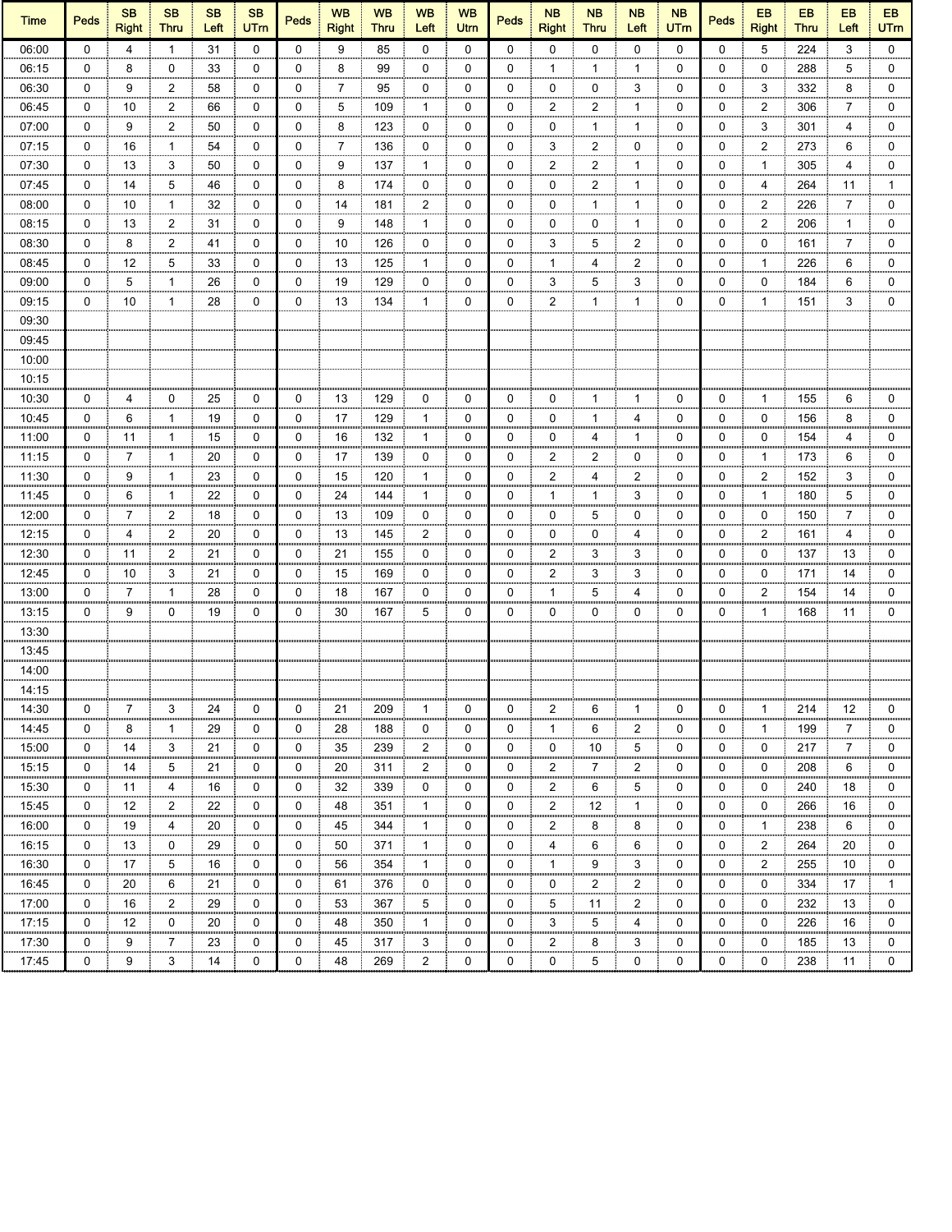| <b>Time</b>    | <b>Peds</b> | <b>SB</b><br><b>Right</b> | <b>SB</b><br><b>Thru</b> | <b>SB</b><br>Left | <b>SB</b><br><b>UTm</b> | <b>Peds</b> | <b>WB</b><br><b>Right</b> | <b>WB</b><br><b>Thru</b> | <b>WB</b><br>Left | <b>WB</b><br>Utrn | <b>Peds</b> | <b>NB</b><br><b>Right</b> | <b>NB</b><br><b>Thru</b> | <b>NB</b><br>Left | <b>NB</b><br><b>UTm</b> | <b>Peds</b> | EB<br><b>Right</b>      | EB<br><b>Thru</b> | <b>EB</b><br>Left | EB<br><b>UTm</b> |
|----------------|-------------|---------------------------|--------------------------|-------------------|-------------------------|-------------|---------------------------|--------------------------|-------------------|-------------------|-------------|---------------------------|--------------------------|-------------------|-------------------------|-------------|-------------------------|-------------------|-------------------|------------------|
| 06:00          | $\Omega$    | 4                         | $\overline{1}$           | 31                | $\mathbf 0$             | $\mathbf 0$ | 9                         | 85                       | $\mathbf 0$       | $\mathbf 0$       | $\Omega$    | 0                         | 0                        | $\Omega$          | $\mathbf{0}$            | $\Omega$    | 5                       | 224               | 3                 | $\mathbf 0$      |
| 06:15          | 0           | 8                         | 0                        | 33                | 0                       | 0           | 8                         | 99                       | 0                 | 0                 | 0           | 1                         | 1                        | 1                 | 0                       | 0           | 0                       | 288               | 5                 | 0                |
| 06:30          | 0           | 9                         | $\overline{2}$           | 58                | 0                       | 0           | 7                         | 95                       | 0                 | 0                 | 0           | 0                         | 0                        | 3                 | 0                       | 0           | 3                       | 332               | 8                 | 0                |
| 06:45          | 0           | 10                        | $\overline{2}$           | 66                | 0                       | 0           | 5                         | 109                      | 1                 | 0                 | 0           | 2                         | 2                        | 1                 | 0                       | 0           | 2                       | 306               | 7                 | 0                |
| 07:00          | 0           | 9<br>ш                    | $\overline{2}$           | 50                | 0<br>,,,,,              | 0           | 8<br>,,,,,,               | 123                      | 0                 | 0                 | 0           | 0                         | 1<br>,,,,,,              | 1                 | 0                       | 0           | 3                       | 301               | 4                 | $\mathbf 0$      |
| 07:15          | 0           | 16                        | 1                        | 54                | 0                       | 0           | 7                         | 136                      | 0                 | 0                 | 0           | 3                         | 2                        | 0                 | 0                       | 0           | 2                       | 273               | 6                 | 0                |
| 07:30          | 0           | 13                        | 3                        | 50                | 0                       | 0           | 9                         | 137                      | $\mathbf{1}$      | 0                 | 0           | 2                         | 2                        | 1                 | 0                       | 0           | 1                       | 305               | 4                 | 0                |
| 07:45          | 0           | 14                        | 5                        | 46                | 0                       | 0           | 8                         | 174                      | 0                 | 0                 | 0           | 0                         | 2                        | 1                 | 0                       | 0           | 4                       | 264               | 11                | $\mathbf 1$      |
| 08:00          | 0           | 10                        | 1                        | 32                | 0                       | 0           | 14                        | 181                      | 2                 | 0                 | 0           | 0                         | 1                        | 1                 | 0                       | 0           | 2                       | 226               | 7                 | 0                |
| 08:15          | 0           | 13                        | $\overline{2}$           | 31                | 0                       | 0           | 9                         | 148                      | $\mathbf{1}$      | 0                 | 0           | 0                         | 0                        | 1                 | 0                       | 0           | $\overline{\mathbf{c}}$ | 206               | $\mathbf{1}$      | 0                |
| 08:30          | $\mathbf 0$ | 8                         | $\overline{2}$           | 41                | $\mathbf 0$             | 0           | 10                        | 126                      | 0                 | 0                 | 0           | 3                         | 5                        | 2                 | 0                       | 0           | 0                       | 161               | 7                 | 0                |
| 08:45          | 0           | 12                        | 5                        | 33                | 0                       | 0           | 13                        | 125                      | $\mathbf{1}$      | 0                 | 0           | 1                         | 4                        | $\overline{2}$    | 0                       | 0           | 1                       | 226               | 6                 | 0                |
| 09:00          | 0           | 5                         | $\mathbf{1}$             | 26                | 0                       | 0           | 19                        | 129                      | 0                 | 0                 | 0           | 3                         | 5                        | 3                 | 0                       | 0           | 0                       | 184               | 6                 | 0                |
| 09:15          | $\mathbf 0$ | 10                        | $\mathbf{1}$             | 28                | $\mathbf 0$             | 0           | 13                        | 134                      | $\mathbf{1}$      | 0                 | 0           | $\overline{2}$            | $\mathbf{1}$             | 1                 | 0                       | 0           | 1                       | 151               | 3                 | $\mathbf 0$      |
| 09:30          |             |                           |                          |                   |                         |             |                           |                          |                   |                   |             |                           |                          |                   |                         |             |                         |                   |                   |                  |
| 09:45          |             |                           |                          |                   |                         |             |                           |                          |                   |                   |             |                           |                          |                   |                         |             |                         |                   |                   |                  |
| 10:00          |             |                           |                          |                   |                         |             |                           |                          |                   |                   |             |                           |                          |                   |                         |             |                         |                   |                   |                  |
| 10:15          |             |                           |                          |                   |                         |             |                           |                          |                   |                   |             |                           |                          |                   |                         |             |                         |                   |                   |                  |
| 10:30          | 0           | 4                         | 0                        | 25                | 0                       | 0           | 13                        | 129                      | 0                 | 0                 | 0           | 0                         | 1                        | 1                 | 0                       | 0           | 1                       | 155               | 6                 | 0                |
| 10:45          | 0           | mm<br>6                   | -1                       | 19                | 0                       | 0           | 17                        | 129                      | 1                 | 0                 | 0           | 0                         | mm.<br>-1                | 4                 | 0                       | 0           | 0                       | 156               | 8                 | 0                |
| 11:00          | 0           | 11                        | -1                       | 15                | 0                       | 0           | 16                        | 132                      | 1                 | 0                 | 0           | 0                         | 4                        | 1                 | 0                       | 0           | 0                       | 154               | 4                 | 0                |
| 11:15          | 0           | 7                         | $\mathbf{1}$             | 20                | 0                       | 0           | 17                        | 139                      | 0                 | 0                 | 0           | 2                         | 2                        | 0                 | 0                       | 0           | 1                       | 173               | 6                 | 0                |
| 11:30          | $\mathbf 0$ | 9                         | $\mathbf{1}$             | 23                | $\mathbf 0$             | 0           | 15                        | 120                      | $\mathbf{1}$      | 0                 | $\Omega$    | $\overline{2}$            | 4                        | $\overline{2}$    | 0                       | 0           | $\overline{2}$          | 152               | 3                 | 0                |
| 11:45          | 0           | 6                         | 1                        | 22                | 0                       | 0           | 24                        | 144                      | 1                 | 0                 | 0           | 1                         | 1                        | 3                 | 0                       | 0           | 1                       | 180               | 5                 | 0                |
| 12:00          | 0           | 7                         | $\overline{2}$           | 18                | 0                       | 0           | 13                        | 109                      | 0                 | 0                 | 0           | 0                         | 5                        | 0                 | 0                       | 0           | 0                       | 150               | 7                 | 0                |
| 12:15          | 0           | 4                         | $\overline{2}$           | 20                | $\mathbf 0$             | 0           | 13                        | 145                      | $\overline{2}$    | 0                 | 0           | 0                         | 0                        | 4                 | 0                       | 0           | $\overline{2}$          | 161               | 4                 | $\mathbf 0$      |
| 12:30          | 0           | 11                        | $\overline{2}$           | 21                | 0                       | 0           | 21                        | 155                      | 0                 | 0                 | 0           | 2                         | 3                        | 3                 | 0                       | 0           | 0                       | 137               | 13                | 0                |
| 12:45          | 0           | 10                        | 3                        | 21                | 0                       | 0           | 15                        | 169                      | 0                 | 0                 | 0           | 2                         | 3                        | 3                 | 0                       | 0           | 0                       | 171               | 14                | 0                |
| 13:00          | 0           | 7                         | 1                        | 28                | 0                       | 0           | 18                        | 167                      | 0                 | 0                 | 0           | 1                         | 5                        | 4                 | 0                       | 0           | 2                       | 154               | 14                | 0                |
|                | 0           | 9                         | 0                        | 19                | 0                       | 0           | 30                        | 167                      | 5                 | 0                 | 0           | 0                         | 0                        | 0                 | 0                       | 0           | 1                       |                   | 11                | 0                |
| 13:15<br>13:30 |             |                           |                          |                   |                         |             |                           |                          |                   |                   |             |                           |                          |                   |                         |             |                         | 168               |                   |                  |
|                |             |                           |                          |                   |                         |             |                           |                          |                   |                   |             |                           |                          |                   |                         |             |                         |                   |                   |                  |
| 13:45          |             |                           |                          |                   |                         |             |                           |                          |                   |                   |             |                           |                          |                   |                         |             |                         |                   |                   |                  |
| 14:00          |             |                           |                          |                   |                         |             |                           |                          |                   |                   |             |                           |                          |                   |                         |             |                         |                   |                   |                  |
| 14:15          |             |                           |                          |                   |                         |             |                           |                          |                   |                   |             |                           |                          |                   |                         |             |                         |                   |                   |                  |
| 14:30          | 0           | 7                         | 3                        | 24                | 0                       | 0           | 21                        | 209                      | $\mathbf{1}$      | 0                 | 0           | 2                         | 6                        | $\mathbf{1}$      | 0                       | 0           | $\mathbf{1}$            | 214               | 12                | 0                |
| 14:45          | 0           | 8                         | $\mathbf{1}$             | 29                | 0                       | 0           | 28                        | 188                      | 0                 | 0                 | 0           | 1                         | 6                        | 2                 | 0                       | 0           | 1                       | 199               | 7                 | 0                |
| 15:00          | 0           | 14                        | 3                        | 21                | 0                       | 0           | 35                        | 239                      | 2                 | 0                 | 0           | 0                         | 10                       | 5                 | 0                       | 0           | 0                       | 217               | $\overline{7}$    | 0                |
| 15:15          | 0           | 14                        | 5                        | 21                | 0                       | 0           | 20                        | 311                      | 2                 | 0                 | 0           | $\overline{c}$            | 7                        | 2                 | 0                       | 0           | 0                       | 208               | 6                 | 0                |
| 15:30          | 0           | 11                        | 4                        | 16                | 0                       | 0           | 32                        | 339                      | 0                 | 0                 | 0           | $\overline{2}$            | 6                        | 5                 | 0                       | 0           | 0                       | 240               | 18                | 0                |
| 15:45          | 0           | 12                        | $\overline{2}$           | 22                | 0                       | 0           | 48                        | 351                      | 1                 | 0                 | 0           | 2                         | 12                       | 1                 | 0                       | 0           | 0                       | 266               | 16                | 0                |
| 16:00          | 0           | 19                        | 4                        | 20                | 0                       | 0           | 45                        | 344                      | 1                 | 0                 | 0           | 2                         | 8                        | 8                 | 0                       | 0           | 1                       | 238               | 6                 | 0                |
| 16:15          | 0           | 13                        | 0                        | 29                | 0                       | 0           | 50                        | 371                      | 1                 | 0                 | 0           | 4                         | 6                        | 6                 | 0                       | 0           | 2                       | 264               | 20                | 0                |
| 16:30          | 0           | 17                        | 5                        | 16                | 0                       | 0           | 56                        | 354                      | 1                 | 0                 | 0           | 1                         | 9                        | 3                 | 0                       | 0           | 2                       | 255               | 10                | 0                |
| 16:45          | 0           | 20                        | 6<br>m                   | 21                | 0<br>mm                 | 0           | 61                        | 376                      | 0<br>             | 0                 | 0<br>mm     | 0<br>mm                   | 2                        | 2                 | 0                       | 0           | 0                       | 334               | 17                | $\mathbf{1}$     |
| 17:00          | 0           | 16                        | 2                        | 29                | 0                       | 0           | 53                        | 367                      | 5                 | 0                 | 0           | 5                         | 11                       | 2                 | 0                       | 0           | 0                       | 232               | 13                | 0                |
| 17:15          | 0           | 12                        | 0                        | 20                | 0                       | 0           | 48                        | 350                      | 1                 | 0                 | 0           | 3                         | 5                        | 4                 | 0                       | 0           | 0                       | 226               | 16                | 0                |
| 17:30          | 0           | 9                         | 7                        | 23                | 0                       | 0           | 45                        | 317                      | 3                 | 0                 | 0           | 2                         | 8                        | 3                 | 0                       | 0           | 0                       | 185               | 13                | 0                |
| 17:45          | 0           | 9                         | 3                        | 14                | 0                       | 0           | 48                        | 269                      | $\overline{2}$    | 0                 | 0           | 0                         | 5                        | 0                 | 0                       | 0           | 0                       | 238               | 11                | 0                |